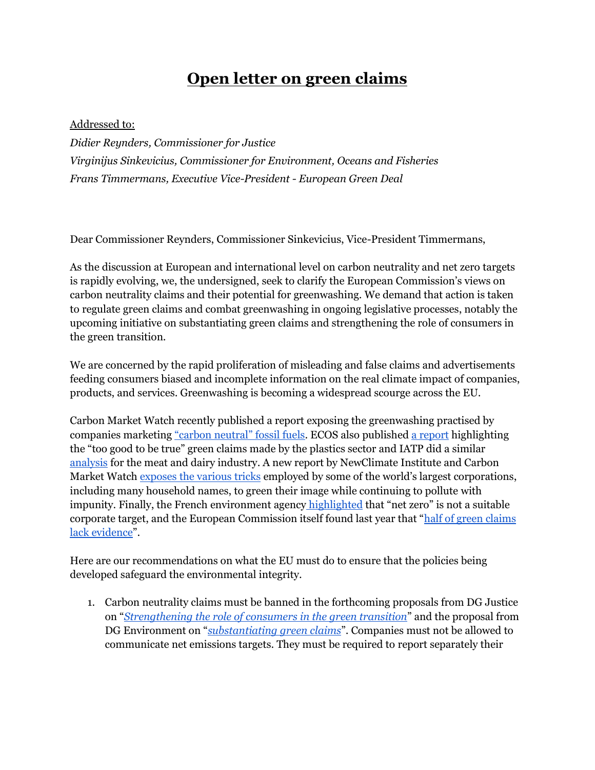## **Open letter on green claims**

## Addressed to:

*Didier Reynders, Commissioner for Justice Virginijus Sinkevicius, Commissioner for Environment, Oceans and Fisheries Frans Timmermans, Executive Vice-President - European Green Deal*

Dear Commissioner Reynders, Commissioner Sinkevicius, Vice-President Timmermans,

As the discussion at European and international level on carbon neutrality and net zero targets is rapidly evolving, we, the undersigned, seek to clarify the European Commission's views on carbon neutrality claims and their potential for greenwashing. We demand that action is taken to regulate green claims and combat greenwashing in ongoing legislative processes, notably the upcoming initiative on substantiating green claims and strengthening the role of consumers in the green transition.

We are concerned by the rapid proliferation of misleading and false claims and advertisements feeding consumers biased and incomplete information on the real climate impact of companies, products, and services. Greenwashing is becoming a widespread scourge across the EU.

Carbon Market Watch recently published a report exposing the greenwashing practised by companies marketing ["carbon neutral" fossil fuels](https://carbonmarketwatch.org/publications/net-zero-pipe-dreams-why-fossil-fuels-cannot-be-carbon-neutral/). ECOS also published [a report](https://ecostandard.org/wp-content/uploads/2021/07/ECOS-RPa-REPORT-Too-Good-To-Be-True.pdf) highlighting the "too good to be true" green claims made by the plastics sector and IATP did a similar [analysis](https://www.iatp.org/emissions-impossible-europe) for the meat and dairy industry. A new report by NewClimate Institute and Carbon Market Watch [exposes the various tricks](https://carbonmarketwatch.org/publications/ccrm_2022/) employed by some of the world's largest corporations, including many household names, to green their image while continuing to pollute with impunity. Finally, the French environment agency [highlighted](https://presse.ademe.fr/2021/04/avis-de-lademe-tous-les-acteurs-doivent-agir-collectivement-pour-la-neutralite-carbone-mais-aucun-acteur-ne-devrait-se-revendiquer-neutre-en-carbone.html) that "net zero" is not a suitable corporate target, and the European Commission itself found last year that "[half of green claims](https://ec.europa.eu/commission/presscorner/detail/en/ip_21_269)  [lack evidence](https://ec.europa.eu/commission/presscorner/detail/en/ip_21_269)".

Here are our recommendations on what the EU must do to ensure that the policies being developed safeguard the environmental integrity.

1. Carbon neutrality claims must be banned in the forthcoming proposals from DG Justice on "*[Strengthening the role of consumers in the green transition](https://ec.europa.eu/info/law/better-regulation/have-your-say/initiatives/12467-Consumer-policy-strengthening-the-role-of-consumers-in-the-green-transition_en)*" and the proposal from DG Environment on "*[substantiating green claims](https://ec.europa.eu/info/law/better-regulation/have-your-say/initiatives/12511-Environmental-performance-of-products-&-businesses-substantiating-claims_en)*". Companies must not be allowed to communicate net emissions targets. They must be required to report separately their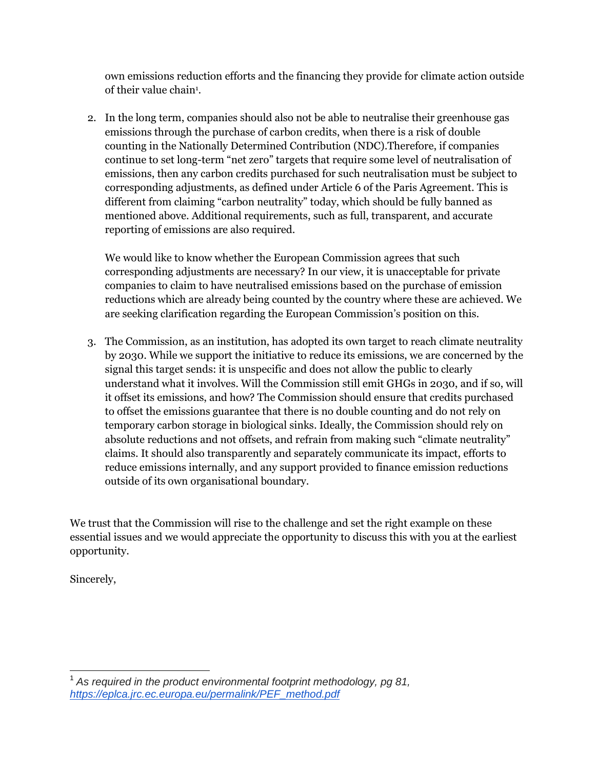own emissions reduction efforts and the financing they provide for climate action outside of their value chain<sup>1</sup>.

2. In the long term, companies should also not be able to neutralise their greenhouse gas emissions through the purchase of carbon credits, when there is a risk of double counting in the Nationally Determined Contribution (NDC).Therefore, if companies continue to set long-term "net zero" targets that require some level of neutralisation of emissions, then any carbon credits purchased for such neutralisation must be subject to corresponding adjustments, as defined under Article 6 of the Paris Agreement. This is different from claiming "carbon neutrality" today, which should be fully banned as mentioned above. Additional requirements, such as full, transparent, and accurate reporting of emissions are also required.

We would like to know whether the European Commission agrees that such corresponding adjustments are necessary? In our view, it is unacceptable for private companies to claim to have neutralised emissions based on the purchase of emission reductions which are already being counted by the country where these are achieved. We are seeking clarification regarding the European Commission's position on this.

3. The Commission, as an institution, has adopted its own target to reach climate neutrality by 2030. While we support the initiative to reduce its emissions, we are concerned by the signal this target sends: it is unspecific and does not allow the public to clearly understand what it involves. Will the Commission still emit GHGs in 2030, and if so, will it offset its emissions, and how? The Commission should ensure that credits purchased to offset the emissions guarantee that there is no double counting and do not rely on temporary carbon storage in biological sinks. Ideally, the Commission should rely on absolute reductions and not offsets, and refrain from making such "climate neutrality" claims. It should also transparently and separately communicate its impact, efforts to reduce emissions internally, and any support provided to finance emission reductions outside of its own organisational boundary.

We trust that the Commission will rise to the challenge and set the right example on these essential issues and we would appreciate the opportunity to discuss this with you at the earliest opportunity.

Sincerely,

<sup>&</sup>lt;sup>1</sup> As required in the product environmental footprint methodology, pg 81, *[https://eplca.jrc.ec.europa.eu/permalink/PEF\\_method.pdf](https://eplca.jrc.ec.europa.eu/permalink/PEF_method.pdf)*